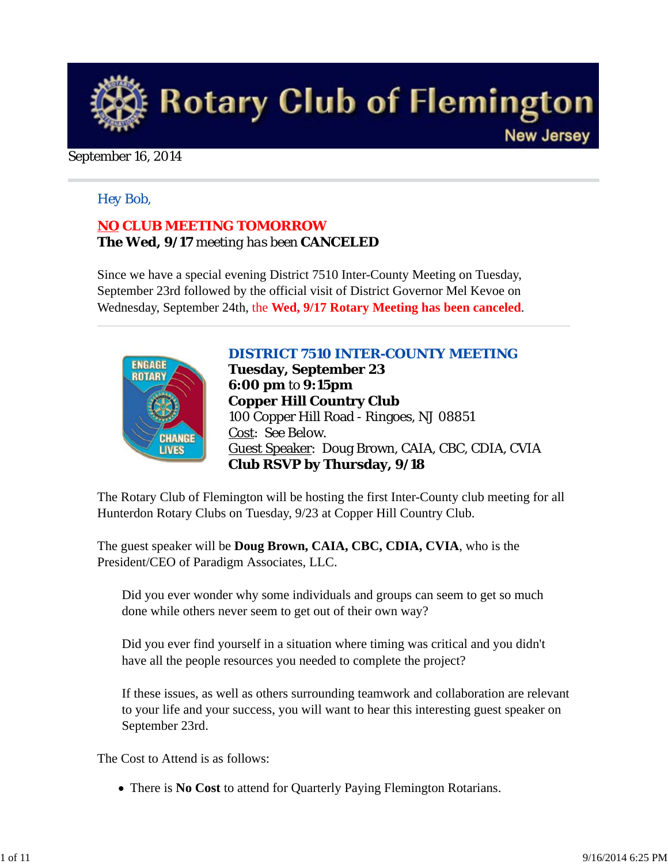

#### September 16, 2014

#### *Hey Bob,*

## *NO CLUB MEETING TOMORROW The Wed, 9/17 meeting has been CANCELED*

Since we have a special evening District 7510 Inter-County Meeting on Tuesday, September 23rd followed by the official visit of District Governor Mel Kevoe on Wednesday, September 24th, the **Wed, 9/17 Rotary Meeting has been canceled**.



*DISTRICT 7510 INTER-COUNTY MEETING* **Tuesday, September 23 6:00 pm** to **9:15pm Copper Hill Country Club** 100 Copper Hill Road - Ringoes, NJ 08851 Cost: See Below. Guest Speaker: Doug Brown, CAIA, CBC, CDIA, CVIA **Club RSVP by Thursday, 9/18**

The Rotary Club of Flemington will be hosting the first Inter-County club meeting for all Hunterdon Rotary Clubs on Tuesday, 9/23 at Copper Hill Country Club.

The guest speaker will be **Doug Brown, CAIA, CBC, CDIA, CVIA**, who is the President/CEO of Paradigm Associates, LLC.

Did you ever wonder why some individuals and groups can seem to get so much done while others never seem to get out of their own way?

Did you ever find yourself in a situation where timing was critical and you didn't have all the people resources you needed to complete the project?

If these issues, as well as others surrounding teamwork and collaboration are relevant to your life and your success, you will want to hear this interesting guest speaker on September 23rd.

The Cost to Attend is as follows:

There is **No Cost** to attend for Quarterly Paying Flemington Rotarians.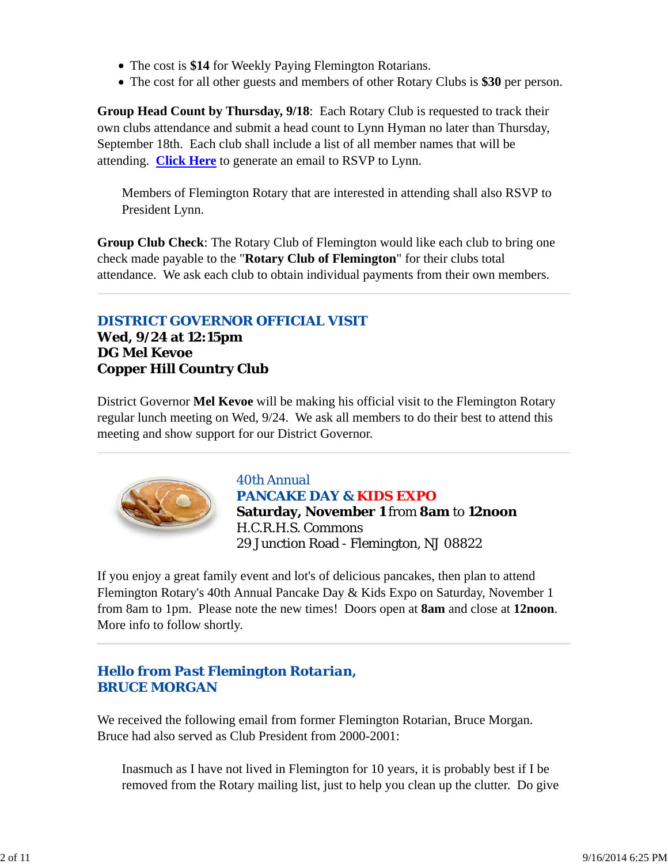- The cost is **\$14** for Weekly Paying Flemington Rotarians.
- The cost for all other guests and members of other Rotary Clubs is **\$30** per person.

**Group Head Count by Thursday, 9/18**: Each Rotary Club is requested to track their own clubs attendance and submit a head count to Lynn Hyman no later than Thursday, September 18th. Each club shall include a list of all member names that will be attending. **Click Here** to generate an email to RSVP to Lynn.

Members of Flemington Rotary that are interested in attending shall also RSVP to President Lynn.

**Group Club Check**: The Rotary Club of Flemington would like each club to bring one check made payable to the "**Rotary Club of Flemington**" for their clubs total attendance. We ask each club to obtain individual payments from their own members.

### *DISTRICT GOVERNOR OFFICIAL VISIT* **Wed, 9/24 at 12:15pm DG Mel Kevoe Copper Hill Country Club**

District Governor **Mel Kevoe** will be making his official visit to the Flemington Rotary regular lunch meeting on Wed, 9/24. We ask all members to do their best to attend this meeting and show support for our District Governor.



*40th Annual PANCAKE DAY & KIDS EXPO* **Saturday, November 1** from **8am** to **12noon** H.C.R.H.S. Commons

29 Junction Road - Flemington, NJ 08822

If you enjoy a great family event and lot's of delicious pancakes, then plan to attend Flemington Rotary's 40th Annual Pancake Day & Kids Expo on Saturday, November 1 from 8am to 1pm. Please note the new times! Doors open at **8am** and close at **12noon**. More info to follow shortly.

# *Hello from Past Flemington Rotarian, BRUCE MORGAN*

We received the following email from former Flemington Rotarian, Bruce Morgan. Bruce had also served as Club President from 2000-2001:

Inasmuch as I have not lived in Flemington for 10 years, it is probably best if I be removed from the Rotary mailing list, just to help you clean up the clutter. Do give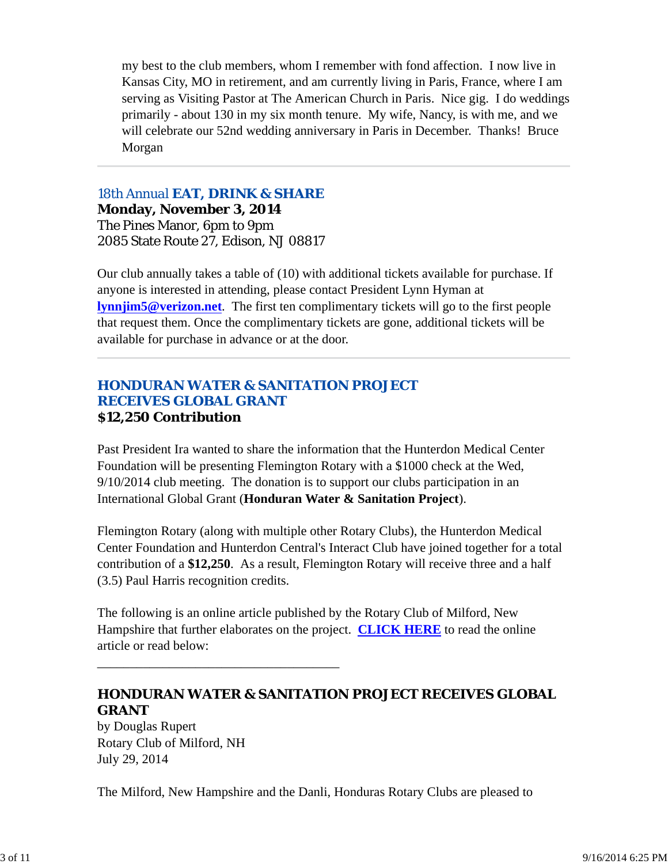my best to the club members, whom I remember with fond affection. I now live in Kansas City, MO in retirement, and am currently living in Paris, France, where I am serving as Visiting Pastor at The American Church in Paris. Nice gig. I do weddings primarily - about 130 in my six month tenure. My wife, Nancy, is with me, and we will celebrate our 52nd wedding anniversary in Paris in December. Thanks! Bruce Morgan

#### *18th Annual EAT, DRINK & SHARE*

**Monday, November 3, 2014** The Pines Manor, 6pm to 9pm 2085 State Route 27, Edison, NJ 08817

Our club annually takes a table of (10) with additional tickets available for purchase. If anyone is interested in attending, please contact President Lynn Hyman at **lynnjim5@verizon.net**. The first ten complimentary tickets will go to the first people that request them. Once the complimentary tickets are gone, additional tickets will be available for purchase in advance or at the door.

#### *HONDURAN WATER & SANITATION PROJECT RECEIVES GLOBAL GRANT* **\$12,250 Contribution**

Past President Ira wanted to share the information that the Hunterdon Medical Center Foundation will be presenting Flemington Rotary with a \$1000 check at the Wed, 9/10/2014 club meeting. The donation is to support our clubs participation in an International Global Grant (**Honduran Water & Sanitation Project**).

Flemington Rotary (along with multiple other Rotary Clubs), the Hunterdon Medical Center Foundation and Hunterdon Central's Interact Club have joined together for a total contribution of a **\$12,250**. As a result, Flemington Rotary will receive three and a half (3.5) Paul Harris recognition credits.

The following is an online article published by the Rotary Club of Milford, New Hampshire that further elaborates on the project. **CLICK HERE** to read the online article or read below:

# **HONDURAN WATER & SANITATION PROJECT RECEIVES GLOBAL GRANT**

by Douglas Rupert Rotary Club of Milford, NH July 29, 2014

\_\_\_\_\_\_\_\_\_\_\_\_\_\_\_\_\_\_\_\_\_\_\_\_\_\_\_\_\_\_\_\_\_\_\_\_\_

The Milford, New Hampshire and the Danli, Honduras Rotary Clubs are pleased to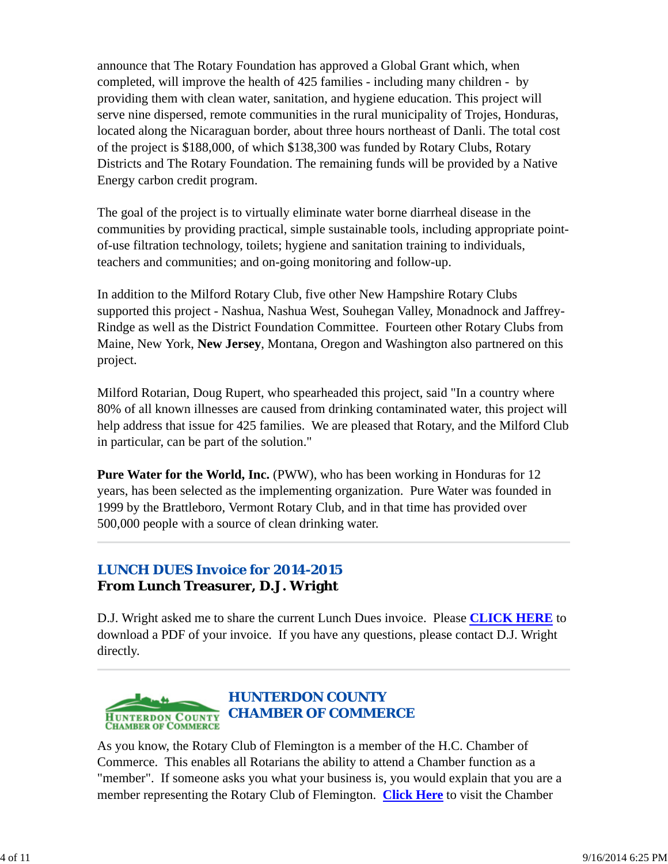announce that The Rotary Foundation has approved a Global Grant which, when completed, will improve the health of 425 families - including many children - by providing them with clean water, sanitation, and hygiene education. This project will serve nine dispersed, remote communities in the rural municipality of Trojes, Honduras, located along the Nicaraguan border, about three hours northeast of Danli. The total cost of the project is \$188,000, of which \$138,300 was funded by Rotary Clubs, Rotary Districts and The Rotary Foundation. The remaining funds will be provided by a Native Energy carbon credit program.

The goal of the project is to virtually eliminate water borne diarrheal disease in the communities by providing practical, simple sustainable tools, including appropriate pointof-use filtration technology, toilets; hygiene and sanitation training to individuals, teachers and communities; and on-going monitoring and follow-up.

In addition to the Milford Rotary Club, five other New Hampshire Rotary Clubs supported this project - Nashua, Nashua West, Souhegan Valley, Monadnock and Jaffrey-Rindge as well as the District Foundation Committee. Fourteen other Rotary Clubs from Maine, New York, **New Jersey**, Montana, Oregon and Washington also partnered on this project.

Milford Rotarian, Doug Rupert, who spearheaded this project, said "In a country where 80% of all known illnesses are caused from drinking contaminated water, this project will help address that issue for 425 families. We are pleased that Rotary, and the Milford Club in particular, can be part of the solution."

**Pure Water for the World, Inc.** (PWW), who has been working in Honduras for 12 years, has been selected as the implementing organization. Pure Water was founded in 1999 by the Brattleboro, Vermont Rotary Club, and in that time has provided over 500,000 people with a source of clean drinking water.

# *LUNCH DUES Invoice for 2014-2015* **From Lunch Treasurer, D.J. Wright**

D.J. Wright asked me to share the current Lunch Dues invoice. Please **CLICK HERE** to download a PDF of your invoice. If you have any questions, please contact D.J. Wright directly.



As you know, the Rotary Club of Flemington is a member of the H.C. Chamber of Commerce. This enables all Rotarians the ability to attend a Chamber function as a "member". If someone asks you what your business is, you would explain that you are a member representing the Rotary Club of Flemington. **Click Here** to visit the Chamber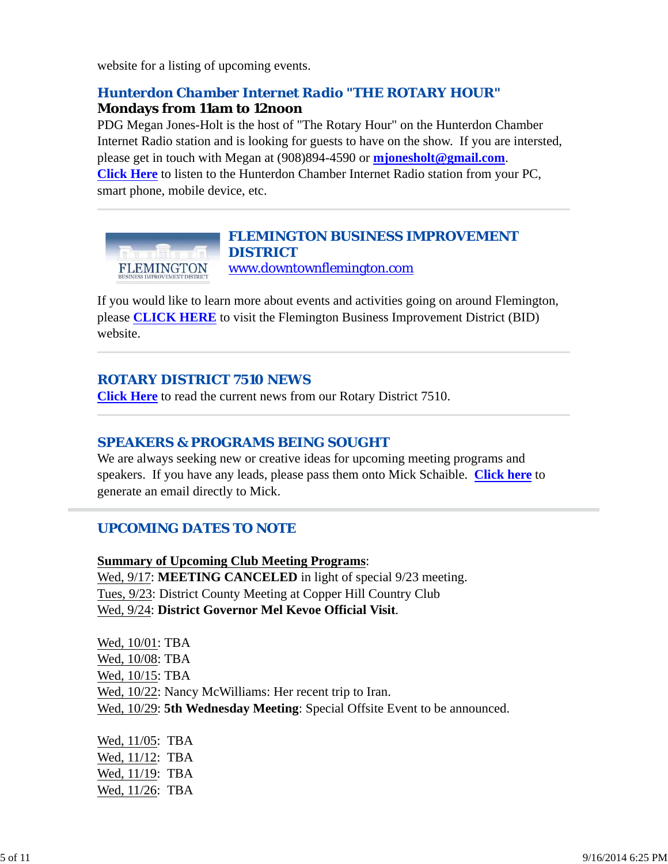website for a listing of upcoming events.

# *Hunterdon Chamber Internet Radio "THE ROTARY HOUR"*

#### **Mondays from 11am to 12noon**

PDG Megan Jones-Holt is the host of "The Rotary Hour" on the Hunterdon Chamber Internet Radio station and is looking for guests to have on the show. If you are intersted, please get in touch with Megan at (908)894-4590 or **mjonesholt@gmail.com**. **Click Here** to listen to the Hunterdon Chamber Internet Radio station from your PC, smart phone, mobile device, etc.



# *FLEMINGTON BUSINESS IMPROVEMENT DISTRICT*

www.downtownflemington.com

If you would like to learn more about events and activities going on around Flemington, please **CLICK HERE** to visit the Flemington Business Improvement District (BID) website.

### *ROTARY DISTRICT 7510 NEWS*

**Click Here** to read the current news from our Rotary District 7510.

#### *SPEAKERS & PROGRAMS BEING SOUGHT*

We are always seeking new or creative ideas for upcoming meeting programs and speakers. If you have any leads, please pass them onto Mick Schaible. **Click here** to generate an email directly to Mick.

# *UPCOMING DATES TO NOTE*

**Summary of Upcoming Club Meeting Programs**: Wed, 9/17: **MEETING CANCELED** in light of special 9/23 meeting. Tues, 9/23: District County Meeting at Copper Hill Country Club Wed, 9/24: **District Governor Mel Kevoe Official Visit**.

Wed, 10/01: TBA Wed, 10/08: TBA Wed, 10/15: TBA Wed, 10/22: Nancy McWilliams: Her recent trip to Iran. Wed, 10/29: **5th Wednesday Meeting**: Special Offsite Event to be announced.

Wed, 11/05: TBA Wed, 11/12: TBA Wed,  $11/19$ : TBA Wed, 11/26: TBA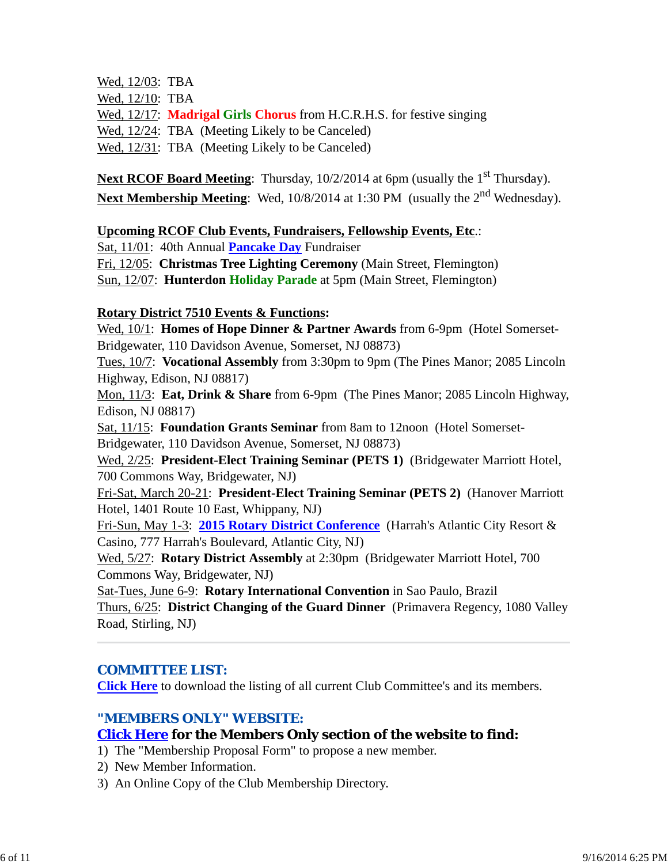Wed, 12/03: TBA Wed, 12/10: TBA Wed, 12/17: **Madrigal Girls Chorus** from H.C.R.H.S. for festive singing Wed, 12/24: TBA (Meeting Likely to be Canceled) Wed, 12/31: TBA (Meeting Likely to be Canceled)

**Next RCOF Board Meeting**: Thursday, 10/2/2014 at 6pm (usually the 1<sup>st</sup> Thursday). **Next Membership Meeting**: Wed, 10/8/2014 at 1:30 PM (usually the 2<sup>nd</sup> Wednesday).

#### **Upcoming RCOF Club Events, Fundraisers, Fellowship Events, Etc**.:

Sat, 11/01: 40th Annual **Pancake Day** Fundraiser Fri, 12/05: **Christmas Tree Lighting Ceremony** (Main Street, Flemington) Sun, 12/07: **Hunterdon Holiday Parade** at 5pm (Main Street, Flemington)

#### **Rotary District 7510 Events & Functions:**

Wed, 10/1: **Homes of Hope Dinner & Partner Awards** from 6-9pm (Hotel Somerset-Bridgewater, 110 Davidson Avenue, Somerset, NJ 08873)

Tues, 10/7: **Vocational Assembly** from 3:30pm to 9pm (The Pines Manor; 2085 Lincoln Highway, Edison, NJ 08817)

Mon, 11/3: **Eat, Drink & Share** from 6-9pm (The Pines Manor; 2085 Lincoln Highway, Edison, NJ 08817)

Sat, 11/15: **Foundation Grants Seminar** from 8am to 12noon (Hotel Somerset-Bridgewater, 110 Davidson Avenue, Somerset, NJ 08873)

Wed, 2/25: **President-Elect Training Seminar (PETS 1)** (Bridgewater Marriott Hotel, 700 Commons Way, Bridgewater, NJ)

Fri-Sat, March 20-21: **President-Elect Training Seminar (PETS 2)** (Hanover Marriott Hotel, 1401 Route 10 East, Whippany, NJ)

Fri-Sun, May 1-3: **2015 Rotary District Conference** (Harrah's Atlantic City Resort & Casino, 777 Harrah's Boulevard, Atlantic City, NJ)

Wed, 5/27: **Rotary District Assembly** at 2:30pm (Bridgewater Marriott Hotel, 700 Commons Way, Bridgewater, NJ)

Sat-Tues, June 6-9: **Rotary International Convention** in Sao Paulo, Brazil Thurs, 6/25: **District Changing of the Guard Dinner** (Primavera Regency, 1080 Valley Road, Stirling, NJ)

#### *COMMITTEE LIST:*

**Click Here** to download the listing of all current Club Committee's and its members.

#### *"MEMBERS ONLY" WEBSITE:*

# **Click Here for the Members Only section of the website to find:**

1) The "Membership Proposal Form" to propose a new member.

- 2) New Member Information.
- 3) An Online Copy of the Club Membership Directory.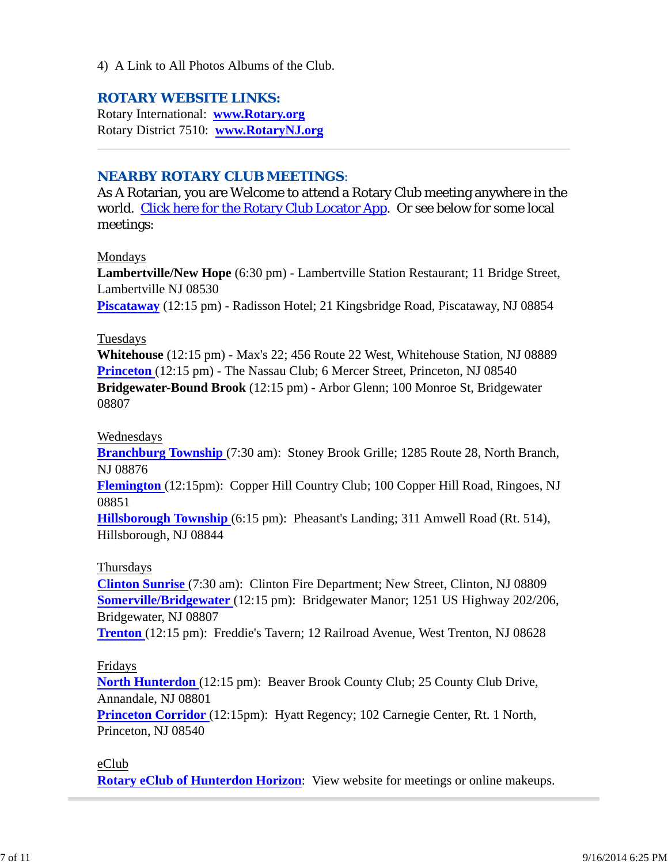4) A Link to All Photos Albums of the Club.

#### *ROTARY WEBSITE LINKS:*

Rotary International: **www.Rotary.org** Rotary District 7510: **www.RotaryNJ.org**

#### *NEARBY ROTARY CLUB MEETINGS:*

As A Rotarian, you are Welcome to attend a Rotary Club meeting anywhere in the world. Click here for the Rotary Club Locator App. Or see below for some local meetings:

#### Mondays

**Lambertville/New Hope** (6:30 pm) - Lambertville Station Restaurant; 11 Bridge Street, Lambertville NJ 08530 **Piscataway** (12:15 pm) - Radisson Hotel; 21 Kingsbridge Road, Piscataway, NJ 08854

#### Tuesdays

**Whitehouse** (12:15 pm) - Max's 22; 456 Route 22 West, Whitehouse Station, NJ 08889 **Princeton** (12:15 pm) - The Nassau Club; 6 Mercer Street, Princeton, NJ 08540 **Bridgewater-Bound Brook** (12:15 pm) - Arbor Glenn; 100 Monroe St, Bridgewater 08807

#### Wednesdays

**Branchburg Township** (7:30 am): Stoney Brook Grille; 1285 Route 28, North Branch, NJ 08876

**Flemington** (12:15pm): Copper Hill Country Club; 100 Copper Hill Road, Ringoes, NJ 08851

**Hillsborough Township** (6:15 pm): Pheasant's Landing; 311 Amwell Road (Rt. 514), Hillsborough, NJ 08844

#### Thursdays

**Clinton Sunrise** (7:30 am): Clinton Fire Department; New Street, Clinton, NJ 08809 **Somerville/Bridgewater** (12:15 pm): Bridgewater Manor; 1251 US Highway 202/206, Bridgewater, NJ 08807

**Trenton** (12:15 pm): Freddie's Tavern; 12 Railroad Avenue, West Trenton, NJ 08628

#### Fridays

**North Hunterdon** (12:15 pm): Beaver Brook County Club; 25 County Club Drive, Annandale, NJ 08801

**Princeton Corridor** (12:15pm): Hyatt Regency; 102 Carnegie Center, Rt. 1 North, Princeton, NJ 08540

#### eClub

**Rotary eClub of Hunterdon Horizon**: View website for meetings or online makeups.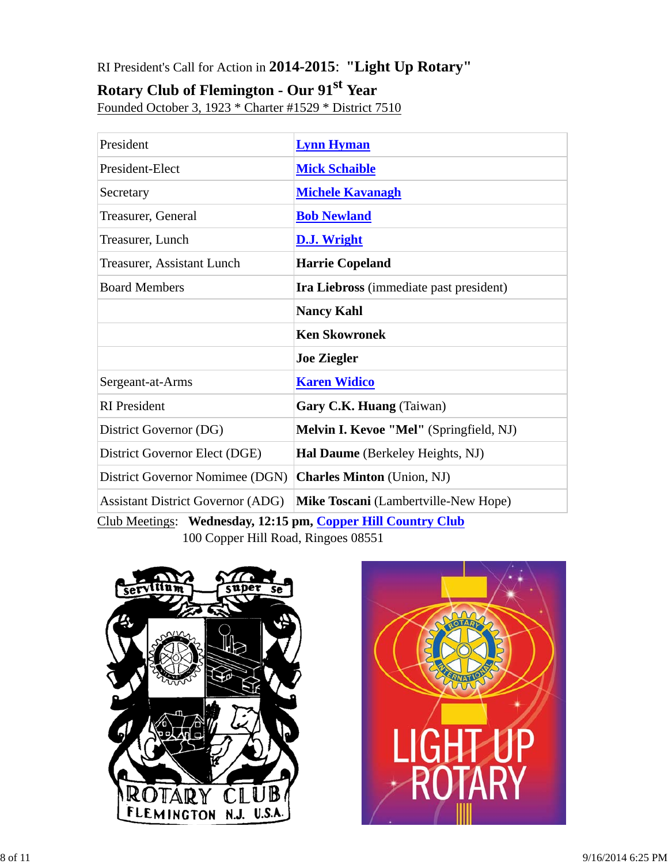# RI President's Call for Action in **2014-2015**: **"Light Up Rotary"**

# **Rotary Club of Flemington - Our 91st Year**

Founded October 3, 1923 \* Charter #1529 \* District 7510

| President                                                    | <b>Lynn Hyman</b>                              |  |  |
|--------------------------------------------------------------|------------------------------------------------|--|--|
| President-Elect                                              | <b>Mick Schaible</b>                           |  |  |
| Secretary                                                    | <b>Michele Kavanagh</b>                        |  |  |
| Treasurer, General                                           | <b>Bob Newland</b>                             |  |  |
| Treasurer, Lunch                                             | <b>D.J. Wright</b>                             |  |  |
| <b>Treasurer, Assistant Lunch</b>                            | <b>Harrie Copeland</b>                         |  |  |
| <b>Board Members</b>                                         | <b>Ira Liebross</b> (immediate past president) |  |  |
|                                                              | <b>Nancy Kahl</b>                              |  |  |
|                                                              | <b>Ken Skowronek</b>                           |  |  |
|                                                              | <b>Joe Ziegler</b>                             |  |  |
| Sergeant-at-Arms                                             | <b>Karen Widico</b>                            |  |  |
| <b>RI</b> President                                          | Gary C.K. Huang (Taiwan)                       |  |  |
| District Governor (DG)                                       | Melvin I. Kevoe "Mel" (Springfield, NJ)        |  |  |
| District Governor Elect (DGE)                                | Hal Daume (Berkeley Heights, NJ)               |  |  |
| District Governor Nomimee (DGN)                              | <b>Charles Minton</b> (Union, NJ)              |  |  |
| <b>Assistant District Governor (ADG)</b>                     | Mike Toscani (Lambertville-New Hope)           |  |  |
| Club Meetings: Wednesday, 12:15 pm, Copper Hill Country Club |                                                |  |  |

100 Copper Hill Road, Ringoes 08551



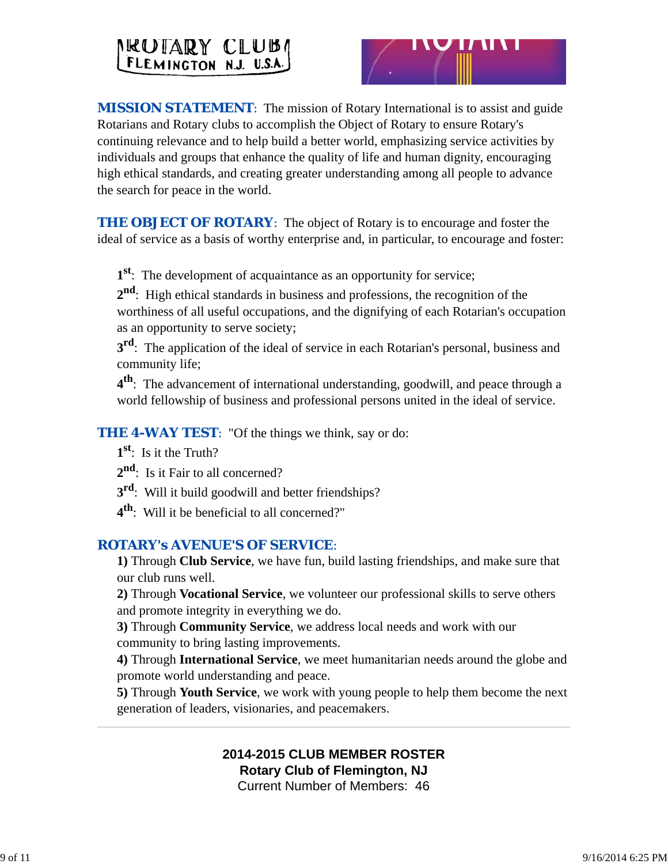# NEUTARY CLUBA



**MISSION STATEMENT:** The mission of Rotary International is to assist and guide Rotarians and Rotary clubs to accomplish the Object of Rotary to ensure Rotary's continuing relevance and to help build a better world, emphasizing service activities by individuals and groups that enhance the quality of life and human dignity, encouraging high ethical standards, and creating greater understanding among all people to advance the search for peace in the world.

**THE OBJECT OF ROTARY:** The object of Rotary is to encourage and foster the ideal of service as a basis of worthy enterprise and, in particular, to encourage and foster:

**1st**: The development of acquaintance as an opportunity for service;

**2nd**: High ethical standards in business and professions, the recognition of the worthiness of all useful occupations, and the dignifying of each Rotarian's occupation as an opportunity to serve society;

**3<sup>rd</sup>**: The application of the ideal of service in each Rotarian's personal, business and community life;

**4th**: The advancement of international understanding, goodwill, and peace through a world fellowship of business and professional persons united in the ideal of service.

*THE 4-WAY TEST*: "Of the things we think, say or do:

**1st**: Is it the Truth?

2<sup>nd</sup>: Is it Fair to all concerned?

**3rd**: Will it build goodwill and better friendships?

**4th**: Will it be beneficial to all concerned?"

# *ROTARY's AVENUE'S OF SERVICE*:

**1)** Through **Club Service**, we have fun, build lasting friendships, and make sure that our club runs well.

**2)** Through **Vocational Service**, we volunteer our professional skills to serve others and promote integrity in everything we do.

**3)** Through **Community Service**, we address local needs and work with our community to bring lasting improvements.

**4)** Through **International Service**, we meet humanitarian needs around the globe and promote world understanding and peace.

**5)** Through **Youth Service**, we work with young people to help them become the next generation of leaders, visionaries, and peacemakers.

# **2014-2015 CLUB MEMBER ROSTER Rotary Club of Flemington, NJ**

Current Number of Members: 46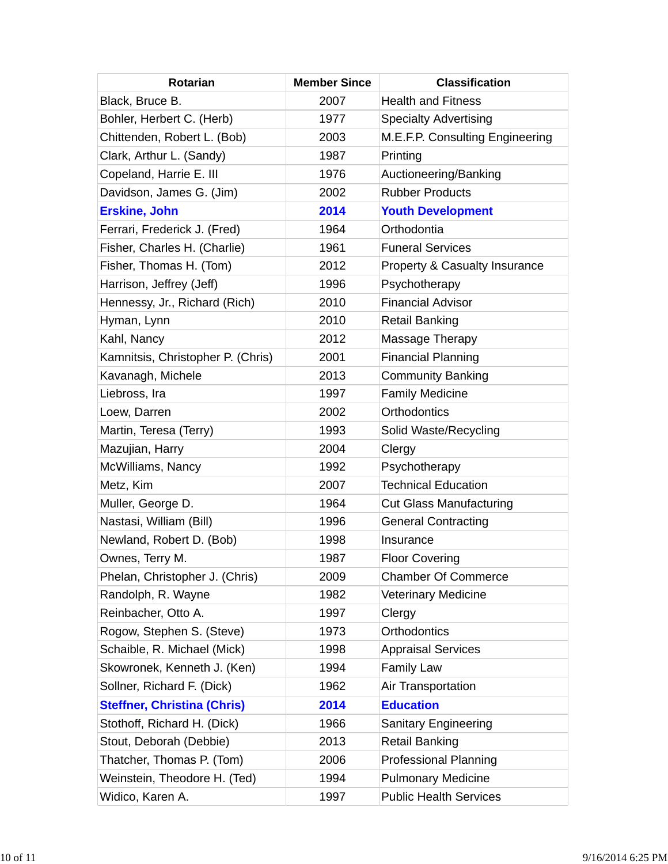| <b>Rotarian</b>                    | <b>Member Since</b> | <b>Classification</b>           |
|------------------------------------|---------------------|---------------------------------|
| Black, Bruce B.                    | 2007                | <b>Health and Fitness</b>       |
| Bohler, Herbert C. (Herb)          | 1977                | <b>Specialty Advertising</b>    |
| Chittenden, Robert L. (Bob)        | 2003                | M.E.F.P. Consulting Engineering |
| Clark, Arthur L. (Sandy)           | 1987                | Printing                        |
| Copeland, Harrie E. III            | 1976                | Auctioneering/Banking           |
| Davidson, James G. (Jim)           | 2002                | <b>Rubber Products</b>          |
| <b>Erskine, John</b>               | 2014                | <b>Youth Development</b>        |
| Ferrari, Frederick J. (Fred)       | 1964                | Orthodontia                     |
| Fisher, Charles H. (Charlie)       | 1961                | <b>Funeral Services</b>         |
| Fisher, Thomas H. (Tom)            | 2012                | Property & Casualty Insurance   |
| Harrison, Jeffrey (Jeff)           | 1996                | Psychotherapy                   |
| Hennessy, Jr., Richard (Rich)      | 2010                | <b>Financial Advisor</b>        |
| Hyman, Lynn                        | 2010                | <b>Retail Banking</b>           |
| Kahl, Nancy                        | 2012                | Massage Therapy                 |
| Kamnitsis, Christopher P. (Chris)  | 2001                | <b>Financial Planning</b>       |
| Kavanagh, Michele                  | 2013                | <b>Community Banking</b>        |
| Liebross, Ira                      | 1997                | <b>Family Medicine</b>          |
| Loew, Darren                       | 2002                | <b>Orthodontics</b>             |
| Martin, Teresa (Terry)             | 1993                | Solid Waste/Recycling           |
| Mazujian, Harry                    | 2004                | Clergy                          |
| McWilliams, Nancy                  | 1992                | Psychotherapy                   |
| Metz, Kim                          | 2007                | <b>Technical Education</b>      |
| Muller, George D.                  | 1964                | <b>Cut Glass Manufacturing</b>  |
| Nastasi, William (Bill)            | 1996                | <b>General Contracting</b>      |
| Newland, Robert D. (Bob)           | 1998                | Insurance                       |
| Ownes, Terry M.                    | 1987                | <b>Floor Covering</b>           |
| Phelan, Christopher J. (Chris)     | 2009                | <b>Chamber Of Commerce</b>      |
| Randolph, R. Wayne                 | 1982                | <b>Veterinary Medicine</b>      |
| Reinbacher, Otto A.                | 1997                | Clergy                          |
| Rogow, Stephen S. (Steve)          | 1973                | <b>Orthodontics</b>             |
| Schaible, R. Michael (Mick)        | 1998                | <b>Appraisal Services</b>       |
| Skowronek, Kenneth J. (Ken)        | 1994                | <b>Family Law</b>               |
| Sollner, Richard F. (Dick)         | 1962                | Air Transportation              |
| <b>Steffner, Christina (Chris)</b> | 2014                | <b>Education</b>                |
| Stothoff, Richard H. (Dick)        | 1966                | <b>Sanitary Engineering</b>     |
| Stout, Deborah (Debbie)            | 2013                | <b>Retail Banking</b>           |
| Thatcher, Thomas P. (Tom)          | 2006                | <b>Professional Planning</b>    |
| Weinstein, Theodore H. (Ted)       | 1994                | <b>Pulmonary Medicine</b>       |
| Widico, Karen A.                   | 1997                | <b>Public Health Services</b>   |